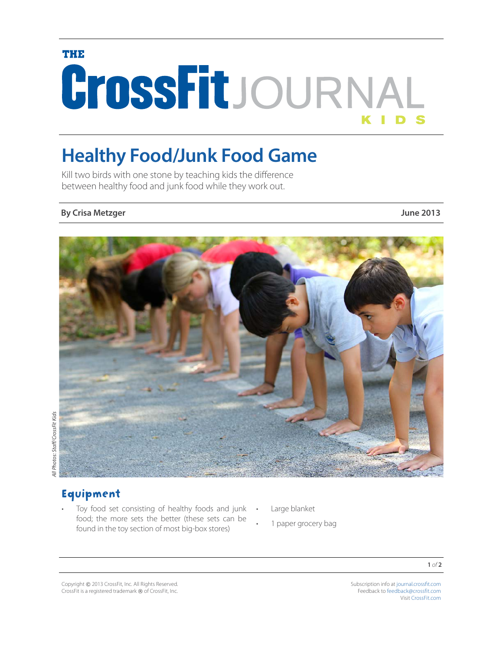# TURIS CrossFitJOURNAL

# **Healthy Food/Junk Food Game**

Kill two birds with one stone by teaching kids the difference between healthy food and junk food while they work out.

#### **By Crisa Metzger June 2013**



# Equipment

- Toy food set consisting of healthy foods and junk . food; the more sets the better (these sets can be found in the toy section of most big-box stores)
- Large blanket
	- 1 paper grocery bag

**1** *of* **2**

Copyright © 2013 CrossFit, Inc. All Rights Reserved. CrossFit is a registered trademark ® of CrossFit, Inc. Subscription info at [journal.crossfit.com](http://journal.crossfit.com) Feedback to [feedback@crossfit.com](mailto:feedback%40crossfit.com?subject=) Visit CrossFit.com